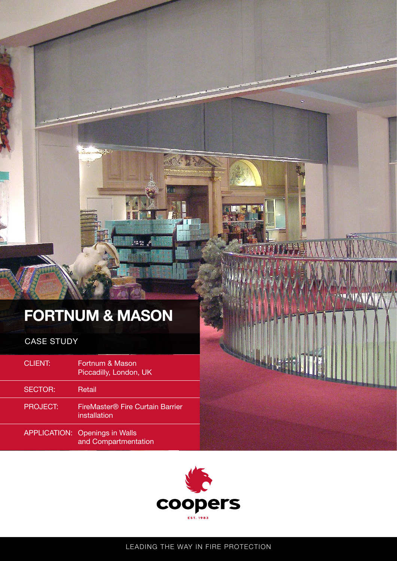# **FORTNUM & MASON**

CASE STUDY

| <b>CLIENT:</b>      | Fortnum & Mason<br>Piccadilly, London, UK        |
|---------------------|--------------------------------------------------|
| <b>SECTOR:</b>      | Retail                                           |
| <b>PROJECT:</b>     | FireMaster® Fire Curtain Barrier<br>installation |
| <b>APPLICATION:</b> | <b>Openings in Walls</b><br>and Compartmentation |





20029

11

**Semp** 

LEADING THE WAY IN FIRE PROTECTION